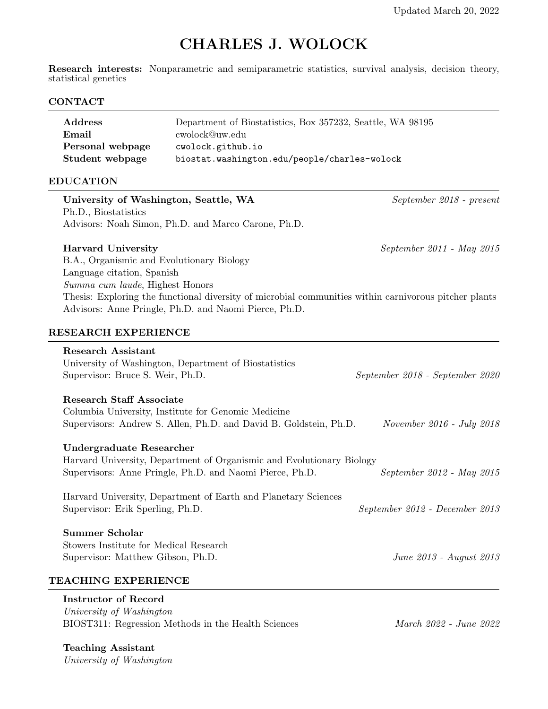# CHARLES J. WOLOCK

Research interests: Nonparametric and semiparametric statistics, survival analysis, decision theory, statistical genetics

## CONTACT

| Address          | Department of Biostatistics, Box 357232, Seattle, WA 98195 |
|------------------|------------------------------------------------------------|
| Email            | cwolock@uw.edu                                             |
| Personal webpage | cwolock.github.io                                          |
| Student webpage  | biostat.washington.edu/people/charles-wolock               |

## EDUCATION

| University of Washington, Seattle, WA<br>Ph.D., Biostatistics                                                                                                                                                                                                                                             | September 2018 - present        |
|-----------------------------------------------------------------------------------------------------------------------------------------------------------------------------------------------------------------------------------------------------------------------------------------------------------|---------------------------------|
| Advisors: Noah Simon, Ph.D. and Marco Carone, Ph.D.                                                                                                                                                                                                                                                       |                                 |
| <b>Harvard University</b><br>B.A., Organismic and Evolutionary Biology<br>Language citation, Spanish<br>Summa cum laude, Highest Honors<br>Thesis: Exploring the functional diversity of microbial communities within carnivorous pitcher plants<br>Advisors: Anne Pringle, Ph.D. and Naomi Pierce, Ph.D. | September 2011 - May 2015       |
| RESEARCH EXPERIENCE                                                                                                                                                                                                                                                                                       |                                 |
| <b>Research Assistant</b><br>University of Washington, Department of Biostatistics<br>Supervisor: Bruce S. Weir, Ph.D.                                                                                                                                                                                    | September 2018 - September 2020 |
| <b>Research Staff Associate</b><br>Columbia University, Institute for Genomic Medicine<br>Supervisors: Andrew S. Allen, Ph.D. and David B. Goldstein, Ph.D.                                                                                                                                               | November 2016 - July 2018       |
| Undergraduate Researcher<br>Harvard University, Department of Organismic and Evolutionary Biology<br>Supervisors: Anne Pringle, Ph.D. and Naomi Pierce, Ph.D.                                                                                                                                             | September 2012 - May 2015       |
| Harvard University, Department of Earth and Planetary Sciences<br>Supervisor: Erik Sperling, Ph.D.                                                                                                                                                                                                        | September 2012 - December 2013  |
| <b>Summer Scholar</b><br>Stowers Institute for Medical Research<br>Supervisor: Matthew Gibson, Ph.D.                                                                                                                                                                                                      | June 2013 - August 2013         |
| TEACHING EXPERIENCE                                                                                                                                                                                                                                                                                       |                                 |

## Instructor of Record

University of Washington BIOST311: Regression Methods in the Health Sciences  $March 2022$  - June 2022

Teaching Assistant University of Washington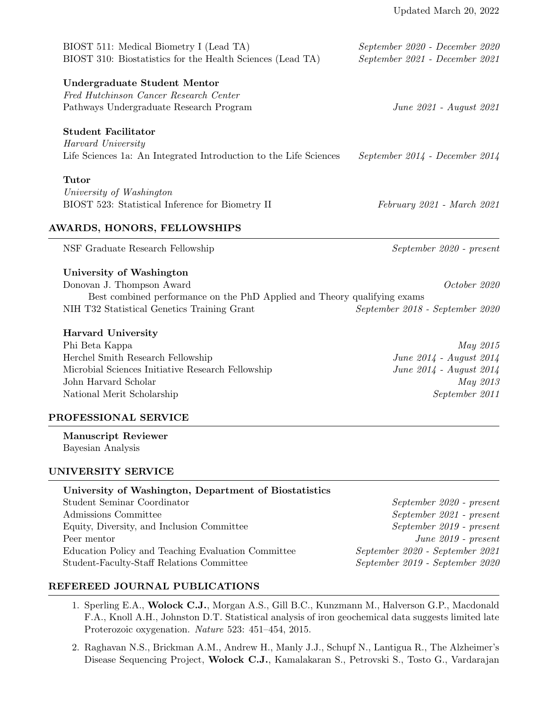| BIOST 511: Medical Biometry I (Lead TA)<br>BIOST 310: Biostatistics for the Health Sciences (Lead TA)                 | September 2020 - December 2020<br>September 2021 - December 2021 |
|-----------------------------------------------------------------------------------------------------------------------|------------------------------------------------------------------|
| Undergraduate Student Mentor<br>Fred Hutchinson Cancer Research Center<br>Pathways Undergraduate Research Program     | June 2021 - August 2021                                          |
| <b>Student Facilitator</b><br>Harvard University<br>Life Sciences 1a: An Integrated Introduction to the Life Sciences | $September 2014 - December 2014$                                 |
| Tutor<br>University of Washington<br>BIOST 523: Statistical Inference for Biometry II                                 | February 2021 - March 2021                                       |
| <b>AWARDS, HONORS, FELLOWSHIPS</b><br>NSF Graduate Research Fellowship                                                | September 2020 - present                                         |

## University of Washington

Donovan J. Thompson Award October 2020 Best combined performance on the PhD Applied and Theory qualifying exams NIH T32 Statistical Genetics Training Grant September 2018 - September 2020

## Harvard University

Phi Beta Kappa May 2015 Herchel Smith Research Fellowship June 2014 - August 2014 Microbial Sciences Initiative Research Fellowship June 2014 - August 2014 John Harvard Scholar May 2013 National Merit Scholarship September 2011

## PROFESSIONAL SERVICE

Manuscript Reviewer Bayesian Analysis

## UNIVERSITY SERVICE

| University of Washington, Department of Biostatistics |                                 |
|-------------------------------------------------------|---------------------------------|
| Student Seminar Coordinator                           | September 2020 - present        |
| Admissions Committee                                  | September 2021 - present        |
| Equity, Diversity, and Inclusion Committee            | September 2019 - present        |
| Peer mentor                                           | June $2019$ - present           |
| Education Policy and Teaching Evaluation Committee    | September 2020 - September 2021 |
| Student-Faculty-Staff Relations Committee             | September 2019 - September 2020 |
|                                                       |                                 |

## REFEREED JOURNAL PUBLICATIONS

- 1. Sperling E.A., Wolock C.J., Morgan A.S., Gill B.C., Kunzmann M., Halverson G.P., Macdonald F.A., Knoll A.H., Johnston D.T. Statistical analysis of iron geochemical data suggests limited late Proterozoic oxygenation. Nature 523: 451–454, 2015.
- 2. Raghavan N.S., Brickman A.M., Andrew H., Manly J.J., Schupf N., Lantigua R., The Alzheimer's Disease Sequencing Project, Wolock C.J., Kamalakaran S., Petrovski S., Tosto G., Vardarajan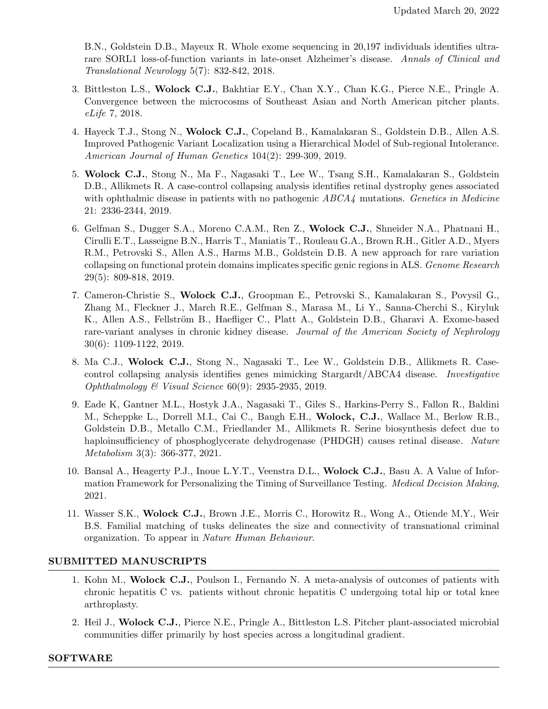B.N., Goldstein D.B., Mayeux R. Whole exome sequencing in 20,197 individuals identifies ultrarare SORL1 loss-of-function variants in late-onset Alzheimer's disease. Annals of Clinical and Translational Neurology 5(7): 832-842, 2018.

- 3. Bittleston L.S., Wolock C.J., Bakhtiar E.Y., Chan X.Y., Chan K.G., Pierce N.E., Pringle A. Convergence between the microcosms of Southeast Asian and North American pitcher plants. eLife 7, 2018.
- 4. Hayeck T.J., Stong N., Wolock C.J., Copeland B., Kamalakaran S., Goldstein D.B., Allen A.S. Improved Pathogenic Variant Localization using a Hierarchical Model of Sub-regional Intolerance. American Journal of Human Genetics 104(2): 299-309, 2019.
- 5. Wolock C.J., Stong N., Ma F., Nagasaki T., Lee W., Tsang S.H., Kamalakaran S., Goldstein D.B., Allikmets R. A case-control collapsing analysis identifies retinal dystrophy genes associated with ophthalmic disease in patients with no pathogenic  $ABCA4$  mutations. Genetics in Medicine 21: 2336-2344, 2019.
- 6. Gelfman S., Dugger S.A., Moreno C.A.M., Ren Z., Wolock C.J., Shneider N.A., Phatnani H., Cirulli E.T., Lasseigne B.N., Harris T., Maniatis T., Rouleau G.A., Brown R.H., Gitler A.D., Myers R.M., Petrovski S., Allen A.S., Harms M.B., Goldstein D.B. A new approach for rare variation collapsing on functional protein domains implicates specific genic regions in ALS. Genome Research 29(5): 809-818, 2019.
- 7. Cameron-Christie S., Wolock C.J., Groopman E., Petrovski S., Kamalakaran S., Povysil G., Zhang M., Fleckner J., March R.E., Gelfman S., Marasa M., Li Y., Sanna-Cherchi S., Kiryluk K., Allen A.S., Fellström B., Haefliger C., Platt A., Goldstein D.B., Gharavi A. Exome-based rare-variant analyses in chronic kidney disease. Journal of the American Society of Nephrology 30(6): 1109-1122, 2019.
- 8. Ma C.J., Wolock C.J., Stong N., Nagasaki T., Lee W., Goldstein D.B., Allikmets R. Casecontrol collapsing analysis identifies genes mimicking Stargardt/ABCA4 disease. Investigative Ophthalmology  $\mathcal C$  Visual Science 60(9): 2935-2935, 2019.
- 9. Eade K, Gantner M.L., Hostyk J.A., Nagasaki T., Giles S., Harkins-Perry S., Fallon R., Baldini M., Scheppke L., Dorrell M.I., Cai C., Baugh E.H., Wolock, C.J., Wallace M., Berlow R.B., Goldstein D.B., Metallo C.M., Friedlander M., Allikmets R. Serine biosynthesis defect due to haploinsufficiency of phosphoglycerate dehydrogenase (PHDGH) causes retinal disease. Nature Metabolism 3(3): 366-377, 2021.
- 10. Bansal A., Heagerty P.J., Inoue L.Y.T., Veenstra D.L., Wolock C.J., Basu A. A Value of Information Framework for Personalizing the Timing of Surveillance Testing. Medical Decision Making, 2021.
- 11. Wasser S.K., Wolock C.J., Brown J.E., Morris C., Horowitz R., Wong A., Otiende M.Y., Weir B.S. Familial matching of tusks delineates the size and connectivity of transnational criminal organization. To appear in Nature Human Behaviour.

# SUBMITTED MANUSCRIPTS

- 1. Kohn M., Wolock C.J., Poulson I., Fernando N. A meta-analysis of outcomes of patients with chronic hepatitis C vs. patients without chronic hepatitis C undergoing total hip or total knee arthroplasty.
- 2. Heil J., Wolock C.J., Pierce N.E., Pringle A., Bittleston L.S. Pitcher plant-associated microbial communities differ primarily by host species across a longitudinal gradient.